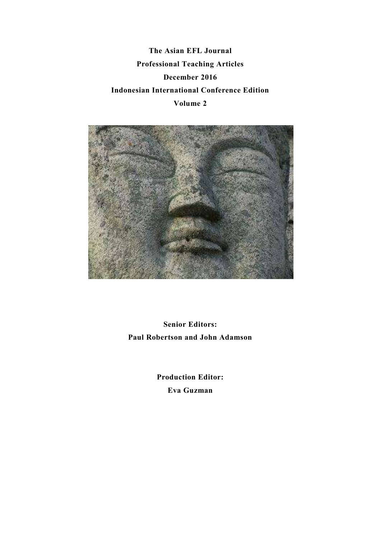**The Asian EFL Journal Professional Teaching Articles December 2016 Indonesian International Conference Edition Volume 2** 



**Senior Editors: Paul Robertson and John Adamson** 

> **Production Editor: Eva Guzman**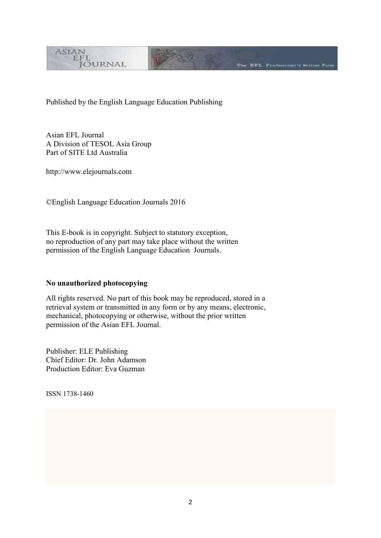

Published by the English Language Education Publishing

The EFL Professional's Written Form

Asian EFL Journal A Division of TESOL Asia Group Part of SITE Ltd Australia

http://www.elejournals.com

©English Language Education Journals 2016

This E-book is in copyright. Subject to statutory exception, no reproduction of any part may take place without the written permission of the English Language Education Journals.

### **No unauthorized photocopying**

All rights reserved. No part of this book may be reproduced, stored in a retrieval system or transmitted in any form or by any means, electronic, mechanical, photocopying or otherwise, without the prior written permission of the Asian EFL Journal.

Publisher: ELE Publishing Chief Editor: Dr. John Adamson Production Editor: Eva Guzman

ISSN 1738-1460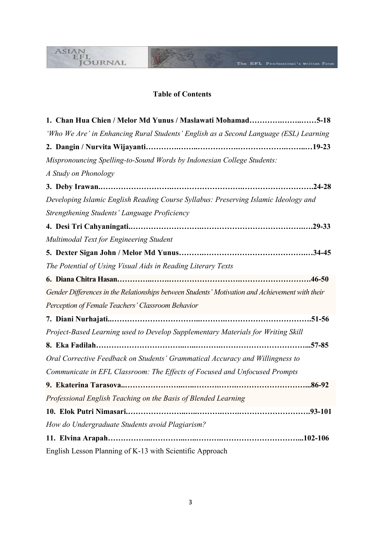# **Table of Contents**

B)

The EFL Professional's Written Form

ASIAN<br>LEL<br>JOURNAL

| 1. Chan Hua Chien / Melor Md Yunus / Maslawati Mohamad5-18                                      |
|-------------------------------------------------------------------------------------------------|
| 'Who We Are' in Enhancing Rural Students' English as a Second Language (ESL) Learning           |
|                                                                                                 |
| Mispronouncing Spelling-to-Sound Words by Indonesian College Students:                          |
| A Study on Phonology                                                                            |
|                                                                                                 |
| Developing Islamic English Reading Course Syllabus: Preserving Islamic Ideology and             |
| Strengthening Students' Language Proficiency                                                    |
|                                                                                                 |
| Multimodal Text for Engineering Student                                                         |
|                                                                                                 |
| The Potential of Using Visual Aids in Reading Literary Texts                                    |
|                                                                                                 |
| Gender Differences in the Relationships between Students' Motivation and Achievement with their |
| Perception of Female Teachers' Classroom Behavior                                               |
|                                                                                                 |
| Project-Based Learning used to Develop Supplementary Materials for Writing Skill                |
|                                                                                                 |
| Oral Corrective Feedback on Students' Grammatical Accuracy and Willingness to                   |
| Communicate in EFL Classroom: The Effects of Focused and Unfocused Prompts                      |
|                                                                                                 |
| Professional English Teaching on the Basis of Blended Learning                                  |
|                                                                                                 |
| How do Undergraduate Students avoid Plagiarism?                                                 |
|                                                                                                 |
| English Lesson Planning of K-13 with Scientific Approach                                        |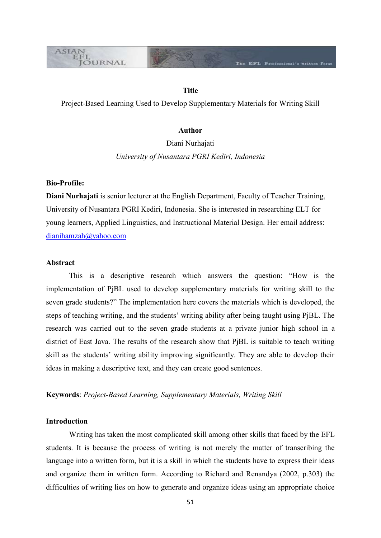# **Title**

The EFL Professional's Written Form

Project-Based Learning Used to Develop Supplementary Materials for Writing Skill

## **Author**

Diani Nurhajati *University of Nusantara PGRI Kediri, Indonesia*

#### **Bio-Profile:**

**ASIAN** EFL

**JOURNAL** 

**Diani Nurhajati** is senior lecturer at the English Department, Faculty of Teacher Training, University of Nusantara PGRI Kediri, Indonesia. She is interested in researching ELT for young learners, Applied Linguistics, and Instructional Material Design. Her email address: [dianihamzah@yahoo.com](mailto:dianihamzah@yahoo.com)

### **Abstract**

This is a descriptive research which answers the question: "How is the implementation of PjBL used to develop supplementary materials for writing skill to the seven grade students?" The implementation here covers the materials which is developed, the steps of teaching writing, and the students' writing ability after being taught using PjBL. The research was carried out to the seven grade students at a private junior high school in a district of East Java. The results of the research show that PjBL is suitable to teach writing skill as the students' writing ability improving significantly. They are able to develop their ideas in making a descriptive text, and they can create good sentences.

## **Keywords**: *Project-Based Learning, Supplementary Materials, Writing Skill*

#### **Introduction**

Writing has taken the most complicated skill among other skills that faced by the EFL students. It is because the process of writing is not merely the matter of transcribing the language into a written form, but it is a skill in which the students have to express their ideas and organize them in written form. According to Richard and Renandya (2002, p.303) the difficulties of writing lies on how to generate and organize ideas using an appropriate choice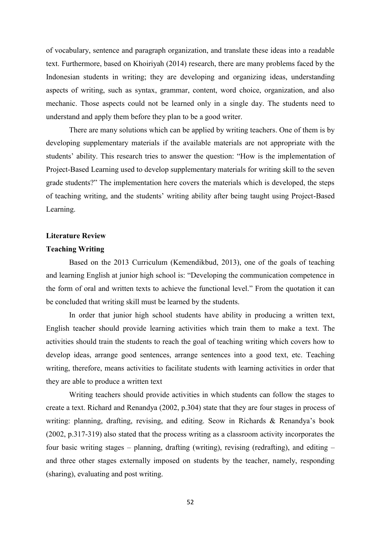of vocabulary, sentence and paragraph organization, and translate these ideas into a readable text. Furthermore, based on Khoiriyah (2014) research, there are many problems faced by the Indonesian students in writing; they are developing and organizing ideas, understanding aspects of writing, such as syntax, grammar, content, word choice, organization, and also mechanic. Those aspects could not be learned only in a single day. The students need to understand and apply them before they plan to be a good writer.

There are many solutions which can be applied by writing teachers. One of them is by developing supplementary materials if the available materials are not appropriate with the students' ability. This research tries to answer the question: "How is the implementation of Project-Based Learning used to develop supplementary materials for writing skill to the seven grade students?" The implementation here covers the materials which is developed, the steps of teaching writing, and the students' writing ability after being taught using Project-Based Learning.

# **Literature Review**

#### **Teaching Writing**

Based on the 2013 Curriculum (Kemendikbud, 2013), one of the goals of teaching and learning English at junior high school is: "Developing the communication competence in the form of oral and written texts to achieve the functional level." From the quotation it can be concluded that writing skill must be learned by the students.

In order that junior high school students have ability in producing a written text, English teacher should provide learning activities which train them to make a text. The activities should train the students to reach the goal of teaching writing which covers how to develop ideas, arrange good sentences, arrange sentences into a good text, etc. Teaching writing, therefore, means activities to facilitate students with learning activities in order that they are able to produce a written text

Writing teachers should provide activities in which students can follow the stages to create a text. Richard and Renandya (2002, p.304) state that they are four stages in process of writing: planning, drafting, revising, and editing. Seow in Richards & Renandya's book (2002, p.317-319) also stated that the process writing as a classroom activity incorporates the four basic writing stages – planning, drafting (writing), revising (redrafting), and editing – and three other stages externally imposed on students by the teacher, namely, responding (sharing), evaluating and post writing.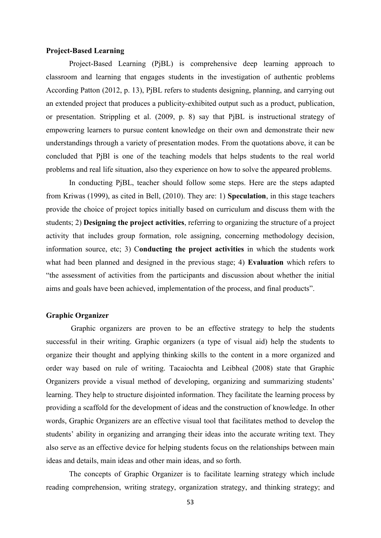#### **Project-Based Learning**

Project-Based Learning (PjBL) is comprehensive deep learning approach to classroom and learning that engages students in the investigation of authentic problems According Patton (2012, p. 13), PjBL refers to students designing, planning, and carrying out an extended project that produces a publicity-exhibited output such as a product, publication, or presentation. Strippling et al. (2009, p. 8) say that PjBL is instructional strategy of empowering learners to pursue content knowledge on their own and demonstrate their new understandings through a variety of presentation modes. From the quotations above, it can be concluded that PjBl is one of the teaching models that helps students to the real world problems and real life situation, also they experience on how to solve the appeared problems.

In conducting PjBL, teacher should follow some steps. Here are the steps adapted from Kriwas (1999), as cited in Bell, (2010). They are: 1) **Speculation**, in this stage teachers provide the choice of project topics initially based on curriculum and discuss them with the students; 2) **Designing the project activities**, referring to organizing the structure of a project activity that includes group formation, role assigning, concerning methodology decision, information source, etc; 3) C**onducting the project activities** in which the students work what had been planned and designed in the previous stage; 4) **Evaluation** which refers to "the assessment of activities from the participants and discussion about whether the initial aims and goals have been achieved, implementation of the process, and final products".

### **Graphic Organizer**

Graphic organizers are proven to be an effective strategy to help the students successful in their writing. Graphic organizers (a type of visual aid) help the students to organize their thought and applying thinking skills to the content in a more organized and order way based on rule of writing. Tacaiochta and Leibheal (2008) state that Graphic Organizers provide a visual method of developing, organizing and summarizing students' learning. They help to structure disjointed information. They facilitate the learning process by providing a scaffold for the development of ideas and the construction of knowledge. In other words, Graphic Organizers are an effective visual tool that facilitates method to develop the students' ability in organizing and arranging their ideas into the accurate writing text. They also serve as an effective device for helping students focus on the relationships between main ideas and details, main ideas and other main ideas, and so forth.

The concepts of Graphic Organizer is to facilitate learning strategy which include reading comprehension, writing strategy, organization strategy, and thinking strategy; and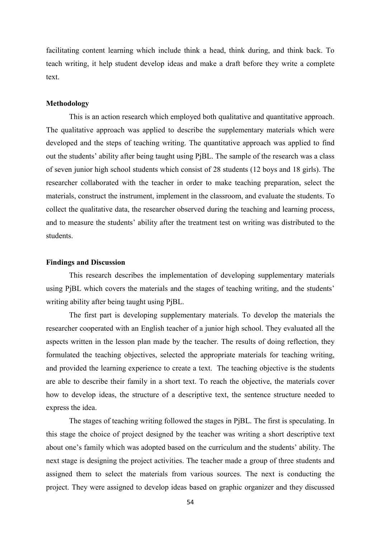facilitating content learning which include think a head, think during, and think back. To teach writing, it help student develop ideas and make a draft before they write a complete text.

### **Methodology**

This is an action research which employed both qualitative and quantitative approach. The qualitative approach was applied to describe the supplementary materials which were developed and the steps of teaching writing. The quantitative approach was applied to find out the students' ability after being taught using PjBL. The sample of the research was a class of seven junior high school students which consist of 28 students (12 boys and 18 girls). The researcher collaborated with the teacher in order to make teaching preparation, select the materials, construct the instrument, implement in the classroom, and evaluate the students. To collect the qualitative data, the researcher observed during the teaching and learning process, and to measure the students' ability after the treatment test on writing was distributed to the students.

### **Findings and Discussion**

This research describes the implementation of developing supplementary materials using PjBL which covers the materials and the stages of teaching writing, and the students' writing ability after being taught using PjBL.

The first part is developing supplementary materials. To develop the materials the researcher cooperated with an English teacher of a junior high school. They evaluated all the aspects written in the lesson plan made by the teacher. The results of doing reflection, they formulated the teaching objectives, selected the appropriate materials for teaching writing, and provided the learning experience to create a text. The teaching objective is the students are able to describe their family in a short text. To reach the objective, the materials cover how to develop ideas, the structure of a descriptive text, the sentence structure needed to express the idea.

The stages of teaching writing followed the stages in PjBL. The first is speculating. In this stage the choice of project designed by the teacher was writing a short descriptive text about one's family which was adopted based on the curriculum and the students' ability. The next stage is designing the project activities. The teacher made a group of three students and assigned them to select the materials from various sources. The next is conducting the project. They were assigned to develop ideas based on graphic organizer and they discussed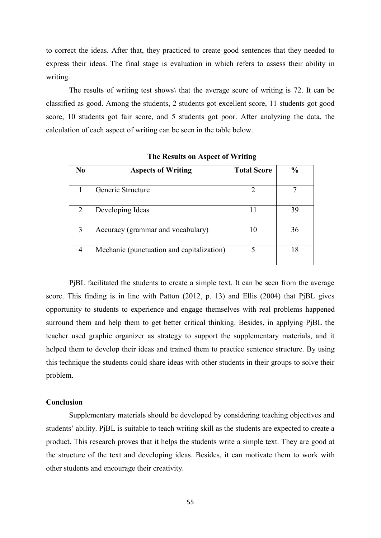to correct the ideas. After that, they practiced to create good sentences that they needed to express their ideas. The final stage is evaluation in which refers to assess their ability in writing.

The results of writing test shows\ that the average score of writing is 72. It can be classified as good. Among the students, 2 students got excellent score, 11 students got good score, 10 students got fair score, and 5 students got poor. After analyzing the data, the calculation of each aspect of writing can be seen in the table below.

| No            | <b>Aspects of Writing</b>                 | <b>Total Score</b> | $\frac{0}{0}$ |
|---------------|-------------------------------------------|--------------------|---------------|
|               |                                           |                    |               |
|               | Generic Structure                         |                    |               |
| $\mathcal{L}$ | Developing Ideas                          | 11                 | 39            |
| 3             | Accuracy (grammar and vocabulary)         | 10                 | 36            |
|               | Mechanic (punctuation and capitalization) |                    |               |

**The Results on Aspect of Writing**

PjBL facilitated the students to create a simple text. It can be seen from the average score. This finding is in line with Patton (2012, p. 13) and Ellis (2004) that PjBL gives opportunity to students to experience and engage themselves with real problems happened surround them and help them to get better critical thinking. Besides, in applying PjBL the teacher used graphic organizer as strategy to support the supplementary materials, and it helped them to develop their ideas and trained them to practice sentence structure. By using this technique the students could share ideas with other students in their groups to solve their problem.

### **Conclusion**

Supplementary materials should be developed by considering teaching objectives and students' ability. PjBL is suitable to teach writing skill as the students are expected to create a product. This research proves that it helps the students write a simple text. They are good at the structure of the text and developing ideas. Besides, it can motivate them to work with other students and encourage their creativity.